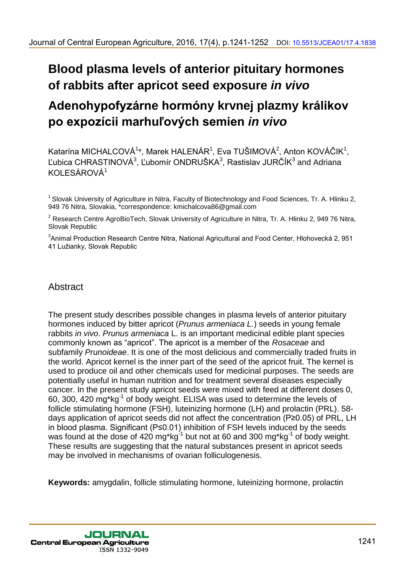# **Blood plasma levels of anterior pituitary hormones of rabbits after apricot seed exposure** *in vivo*

# **Adenohypofyzárne hormóny krvnej plazmy králikov po expozícii marhuľových semien** *in vivo*

Katarína MICHALCOVÁ $^{\rm 1*}$ , Marek HALENÁR $^{\rm 1}$ , Eva TUŠIMOVÁ $^{\rm 2}$ , Anton KOVÁČIK $^{\rm 1}$ , Ľubica CHRASTINOVÁ $^3$ , Ľubomír ONDRUŠKA $^3$ , Rastislav JURČÍK $^3$  and Adriana KOLESÁROVÁ<sup>1</sup>

<sup>1</sup> Slovak University of Agriculture in Nitra, Faculty of Biotechnology and Food Sciences, Tr. A. Hlinku 2. 949 76 Nitra, Slovakia, \*correspondence: kmichalcova86@gmail.com

<sup>2</sup> Research Centre AgroBioTech, Slovak University of Agriculture in Nitra, Tr. A. Hlinku 2, 949 76 Nitra, Slovak Republic

 $^3$ Animal Production Research Centre Nitra, National Agricultural and Food Center, Hlohovecká 2, 951 41 Lužianky, Slovak Republic

# Abstract

The present study describes possible changes in plasma levels of anterior pituitary hormones induced by bitter apricot (*Prunus armeniaca L.*) seeds in young female rabbits *in vivo*. *Prunus armeniaca* L. is an important medicinal edible plant species commonly known as "apricot". The apricot is a member of the *Rosaceae* and subfamily *Prunoideae*. It is one of the most delicious and commercially traded fruits in the world. Apricot kernel is the inner part of the seed of the apricot fruit. The kernel is used to produce oil and other chemicals used for medicinal purposes. The seeds are potentially useful in human nutrition and for treatment several diseases especially cancer. In the present study apricot seeds were mixed with feed at different doses 0, 60, 300, 420 mg\*kg<sup>-1</sup> of body weight. ELISA was used to determine the levels of follicle stimulating hormone (FSH), luteinizing hormone (LH) and prolactin (PRL). 58 days application of apricot seeds did not affect the concentration (P≥0.05) of PRL, LH in blood plasma. Significant (P≤0.01) inhibition of FSH levels induced by the seeds was found at the dose of 420 mg\*kg<sup>-1</sup> but not at 60 and 300 mg\*kg<sup>-1</sup> of body weight. These results are suggesting that the natural substances present in apricot seeds may be involved in mechanisms of ovarian folliculogenesis. 30 united European Agriculture, 2016, 17(4), p.1241-1252 DOI: 10.5513/JCEAD114-1352<br> **Blood plasma levels of anterior pituitary hormones**<br>
of rabbits after a pricot seed exposure in vivo<br>
Adennohyportyzime hormoniony kryn

**Keywords:** amygdalin, follicle stimulating hormone, luteinizing hormone, prolactin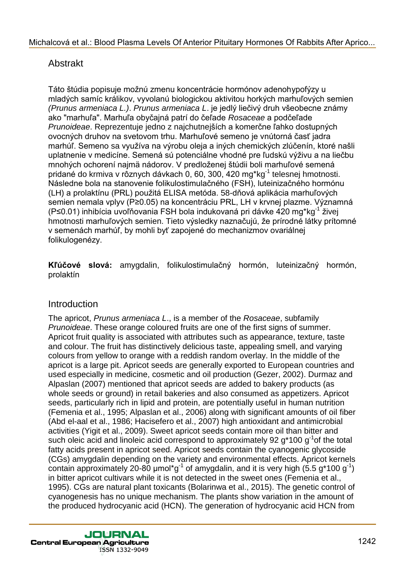# Abstrakt

Táto štúdia popisuje možnú zmenu koncentrácie hormónov adenohypofýzy u mladých samíc králikov, vyvolanú biologickou aktivitou horkých marhuľových semien *(Prunus armeniaca L.)*. *Prunus armeniaca L*. je jedlý liečivý druh všeobecne známy ako "marhuľa". Marhuľa obyčajná patrí do čeľade *Rosaceae* a podčeľade *Prunoideae*. Reprezentuje jedno z najchutnejších a komerčne ľahko dostupných ovocných druhov na svetovom trhu. Marhuľové semeno je vnútorná časť jadra marhúľ. Semeno sa využíva na výrobu oleja a iných chemických zlúčenín, ktoré našli uplatnenie v medicíne. Semená sú potenciálne vhodné pre ľudskú výživu a na liečbu mnohých ochorení najmä nádorov. V predloženej štúdii boli marhuľové semená pridané do krmiva v rôznych dávkach 0, 60, 300, 420 mg\*kg<sup>-1</sup> telesnej hmotnosti. Následne bola na stanovenie folikulostimulačného (FSH), luteinizačného hormónu (LH) a prolaktínu (PRL) použitá ELISA metóda. 58-dňová aplikácia marhuľových semien nemala vplyv (P≥0.05) na koncentráciu PRL, LH v krvnej plazme. Významná (P≤0.01) inhibícia uvoľňovania FSH bola indukovaná pri dávke 420 mg\*kg<sup>-1</sup> živej hmotnosti marhuľových semien. Tieto výsledky naznačujú, že prírodné látky prítomné v semenách marhúľ, by mohli byť zapojené do mechanizmov ovariálnej folikulogenézy.

**Kľúčové slová:** amygdalin, folikulostimulačný hormón, luteinizačný hormón, prolaktín

# **Introduction**

The apricot, *Prunus armeniaca L*., is a member of the *Rosaceae*, subfamily *Prunoideae*. These orange coloured fruits are one of the first signs of summer. Apricot fruit quality is associated with attributes such as appearance, texture, taste and colour. The fruit has distinctively delicious taste, appealing smell, and varying colours from yellow to orange with a reddish random overlay. In the middle of the apricot is a large pit. Apricot seeds are generally exported to European countries and used especially in medicine, cosmetic and oil production (Gezer, 2002). Durmaz and Alpaslan (2007) mentioned that apricot seeds are added to bakery products (as whole seeds or ground) in retail bakeries and also consumed as appetizers. Apricot seeds, particularly rich in lipid and protein, are potentially useful in human nutrition (Femenia et al., 1995; Alpaslan et al., 2006) along with significant amounts of oil fiber (Abd el-aal et al., 1986; Hacisefero et al., 2007) high antioxidant and antimicrobial activities (Yigit et al., 2009). Sweet apricot seeds contain more oil than bitter and such oleic acid and linoleic acid correspond to approximately 92  $g*100 g<sup>-1</sup>$ of the total fatty acids present in apricot seed. Apricot seeds contain the cyanogenic glycoside (CGs) amygdalin depending on the variety and environmental effects. Apricot kernels contain approximately 20-80  $\mu$ mol\*g<sup>-1</sup> of amygdalin, and it is very high (5.5 g\*100 g<sup>-1</sup>) in bitter apricot cultivars while it is not detected in the sweet ones (Femenia et al., 1995). CGs are natural plant toxicants (Bolarinwa et al., 2015). The genetic control of cyanogenesis has no unique mechanism. The plants show variation in the amount of the produced hydrocyanic acid (HCN). The generation of hydrocyanic acid HCN from Methetová et al.: Blood Plasma Levels Of Anterior Pituliary Hormones Of Rabbits After Aprico.<br>
Abstrakt siddi popisuje możni zmenu koncentrácie hormonov adenohypcjy u<br>
Tala siddi popisuje możni zmenu koncentrácie hormonov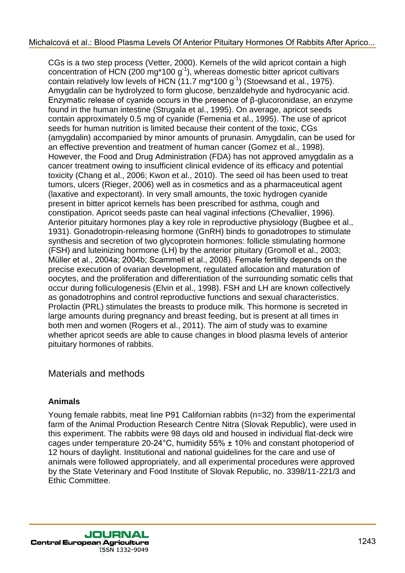CGs is a two step process (Vetter, 2000). Kernels of the wild apricot contain a high concentration of HCN (200 mg\*100 g<sup>-1</sup>), whereas domestic bitter apricot cultivars contain relatively low levels of HCN  $(11.7 \text{ mg*100 g}^1)$  (Stoewsand et al., 1975). Amygdalin can be hydrolyzed to form glucose, benzaldehyde and hydrocyanic acid. Enzymatic release of cyanide occurs in the presence of β-glucoronidase, an enzyme found in the human intestine (Strugala et al., 1995). On average, apricot seeds contain approximately 0.5 mg of cyanide (Femenia et al., 1995). The use of apricot seeds for human nutrition is limited because their content of the toxic, CGs (amygdalin) accompanied by minor amounts of prunasin. Amygdalin, can be used for an effective prevention and treatment of human cancer (Gomez et al., 1998). However, the Food and Drug Administration (FDA) has not approved amygdalin as a cancer treatment owing to insufficient clinical evidence of its efficacy and potential toxicity (Chang et al., 2006; Kwon et al., 2010). The seed oil has been used to treat tumors, ulcers (Rieger, 2006) well as in cosmetics and as a pharmaceutical agent (laxative and expectorant). In very small amounts, the toxic hydrogen cyanide present in bitter apricot kernels has been prescribed for asthma, cough and constipation. Apricot seeds paste can heal vaginal infections (Chevallier, 1996). Anterior pituitary hormones play a key role in reproductive physiology (Bugbee et al., 1931). Gonadotropin-releasing hormone (GnRH) binds to gonadotropes to stimulate synthesis and secretion of two glycoprotein hormones: follicle stimulating hormone (FSH) and luteinizing hormone (LH) by the anterior pituitary (Gromoll et al., 2003; Müller et al., 2004a; 2004b; Scammell et al., 2008). Female fertility depends on the precise execution of ovarian development, regulated allocation and maturation of oocytes, and the proliferation and differentiation of the surrounding somatic cells that occur during folliculogenesis (Elvin et al., 1998). FSH and LH are known collectively as gonadotrophins and control reproductive functions and sexual characteristics. Prolactin (PRL) stimulates the breasts to produce milk. This hormone is secreted in large amounts during pregnancy and breast feeding, but is present at all times in both men and women (Rogers et al., 2011). The aim of study was to examine whether apricot seeds are able to cause changes in blood plasma levels of anterior pituitary hormones of rabbits. Michalcová et al.: Blood Plasma Levels Of Anterior Pituliary Hormones Of Rabbits After Aprio...<br>
Cochis a two step process (Variar, 2000), Kermels of the widi spiritar tochina high<br>
Amy and the Cochis after April 100 (1).

#### Materials and methods

#### **Animals**

Young female rabbits, meat line P91 Californian rabbits (n=32) from the experimental farm of the Animal Production Research Centre Nitra (Slovak Republic), were used in this experiment. The rabbits were 98 days old and housed in individual flat-deck wire cages under temperature 20-24°C, humidity 55% ± 10% and constant photoperiod of 12 hours of daylight. Institutional and national guidelines for the care and use of animals were followed appropriately, and all experimental procedures were approved by the State Veterinary and Food Institute of Slovak Republic, no. 3398/11-221/3 and Ethic Committee.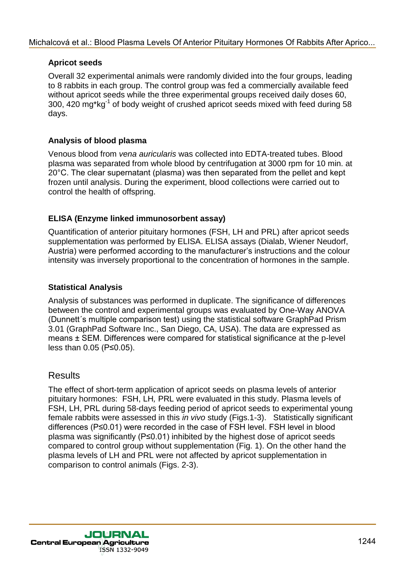#### **Apricot seeds**

Overall 32 experimental animals were randomly divided into the four groups, leading to 8 rabbits in each group. The control group was fed a commercially available feed without apricot seeds while the three experimental groups received daily doses 60, 300, 420 mg\*kg<sup>-1</sup> of body weight of crushed apricot seeds mixed with feed during 58 days.

#### **Analysis of blood plasma**

Venous blood from *vena auricularis* was collected into EDTA-treated tubes. Blood plasma was separated from whole blood by centrifugation at 3000 rpm for 10 min. at 20°C. The clear supernatant (plasma) was then separated from the pellet and kept frozen until analysis. During the experiment, blood collections were carried out to control the health of offspring.

#### **ELISA (Enzyme linked immunosorbent assay)**

Quantification of anterior pituitary hormones (FSH, LH and PRL) after apricot seeds supplementation was performed by ELISA. ELISA assays (Dialab, Wiener Neudorf, Austria) were performed according to the manufacturer's instructions and the colour intensity was inversely proportional to the concentration of hormones in the sample.

#### **Statistical Analysis**

Analysis of substances was performed in duplicate. The significance of differences between the control and experimental groups was evaluated by One-Way ANOVA (Dunnett´s multiple comparison test) using the statistical software GraphPad Prism 3.01 (GraphPad Software Inc., San Diego, CA, USA). The data are expressed as means ± SEM. Differences were compared for statistical significance at the p-level less than 0.05 (P≤0.05).

#### **Results**

The effect of short-term application of apricot seeds on plasma levels of anterior pituitary hormones: FSH, LH*,* PRL were evaluated in this study. Plasma levels of FSH, LH, PRL during 58-days feeding period of apricot seeds to experimental young female rabbits were assessed in this *in vivo* study (Figs.1-3). Statistically significant differences (P≤0.01) were recorded in the case of FSH level. FSH level in blood plasma was significantly (P≤0.01) inhibited by the highest dose of apricot seeds compared to control group without supplementation (Fig. 1). On the other hand the plasma levels of LH and PRL were not affected by apricot supplementation in comparison to control animals (Figs. 2-3). Michalcová et al.: Blood Plasma Levels Of Anterior Pituliary Hormones Of Rabbits After Aprico...<br>
Aprior seeds<br>
to cortal 32 experimental animals were randomly divided into the four groups, leading<br>
to fitulitary is an alt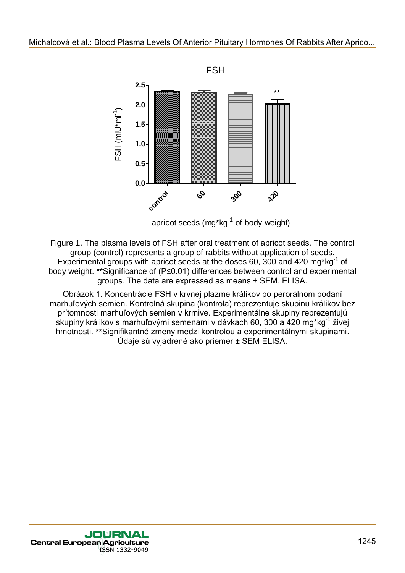

apricot seeds  $(mq^*kq^{-1})$  of body weight)

Figure 1. The plasma levels of FSH after oral treatment of apricot seeds. The control group (control) represents a group of rabbits without application of seeds. Experimental groups with apricot seeds at the doses 60, 300 and 420 mg\*kg $^{-1}$  of body weight. \*\*Significance of (P≤0.01) differences between control and experimental groups. The data are expressed as means ± SEM. ELISA.

Obrázok 1. Koncentrácie FSH v krvnej plazme králikov po perorálnom podaní marhuľových semien. Kontrolná skupina (kontrola) reprezentuje skupinu králikov bez prítomnosti marhuľových semien v krmive. Experimentálne skupiny reprezentujú skupiny králikov s marhuľovými semenami v dávkach 60, 300 a 420 mg\*kg $^1$  živej hmotnosti. \*\*Signifikantné zmeny medzi kontrolou a experimentálnymi skupinami. Údaje sú vyjadrené ako priemer ± SEM ELISA.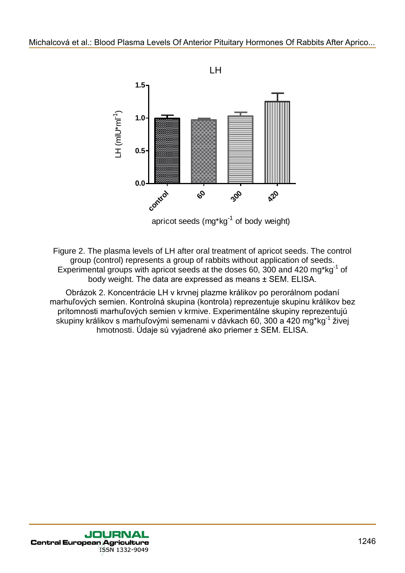

Figure 2. The plasma levels of LH after oral treatment of apricot seeds. The control group (control) represents a group of rabbits without application of seeds. Experimental groups with apricot seeds at the doses 60, 300 and 420 mg\*kg $^{-1}$  of body weight. The data are expressed as means ± SEM. ELISA.

Obrázok 2. Koncentrácie LH v krvnej plazme králikov po perorálnom podaní marhuľových semien. Kontrolná skupina (kontrola) reprezentuje skupinu králikov bez prítomnosti marhuľových semien v krmive. Experimentálne skupiny reprezentujú skupiny králikov s marhuľovými semenami v dávkach 60, 300 a 420 mg\*kg<sup>-1</sup> živej hmotnosti. Údaje sú vyjadrené ako priemer ± SEM. ELISA.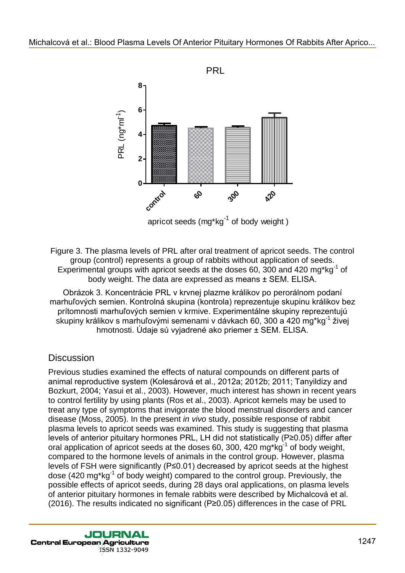

Figure 3. The plasma levels of PRL after oral treatment of apricot seeds. The control group (control) represents a group of rabbits without application of seeds. Experimental groups with apricot seeds at the doses 60, 300 and 420 mg\*kg $^{-1}$  of body weight. The data are expressed as means ± SEM. ELISA.

Obrázok 3. Koncentrácie PRL v krvnej plazme králikov po perorálnom podaní marhuľových semien. Kontrolná skupina (kontrola) reprezentuje skupinu králikov bez prítomnosti marhuľových semien v krmive. Experimentálne skupiny reprezentujú skupiny králikov s marhuľovými semenami v dávkach 60, 300 a 420 mg\*kg<sup>-1</sup> živej hmotnosti. Údaje sú vyjadrené ako priemer ± SEM. ELISA.

# **Discussion**

Previous studies examined the effects of natural compounds on different parts of animal reproductive system (Kolesárová et al., 2012a; 2012b; 2011; Tanyildizy and Bozkurt, 2004; Yasui et al., 2003). However, much interest has shown in recent years to control fertility by using plants (Ros et al., 2003). Apricot kernels may be used to treat any type of symptoms that invigorate the blood menstrual disorders and cancer disease (Moss, 2005). In the present *in vivo* study, possible response of rabbit plasma levels to apricot seeds was examined. This study is suggesting that plasma levels of anterior pituitary hormones PRL, LH did not statistically (P≥0.05) differ after oral application of apricot seeds at the doses 60, 300, 420 mg\*kg<sup>-1</sup> of body weight, compared to the hormone levels of animals in the control group. However, plasma levels of FSH were significantly (P≤0.01) decreased by apricot seeds at the highest dose (420 mg\*kg<sup>-1</sup> of body weight) compared to the control group. Previously, the possible effects of apricot seeds, during 28 days oral applications, on plasma levels of anterior pituitary hormones in female rabbits were described by Michalcová et al. (2016). The results indicated no significant (P≥0.05) differences in the case of PRL Michalcová et al.: Blood Plasma Levels Of Anterior Pituliary Hormones Of Rabbits After Aprico...<br>
PRL<br>  $\frac{1}{5}$ <br>  $\frac{1}{5}$ <br>  $\frac{1}{5}$ <br>  $\frac{1}{5}$ <br>  $\frac{1}{5}$ <br>  $\frac{1}{5}$ <br>  $\frac{1}{5}$ <br>  $\frac{1}{5}$ <br>  $\frac{1}{5}$ <br>  $\frac{1}{5}$ <br>  $\frac{1}{5}$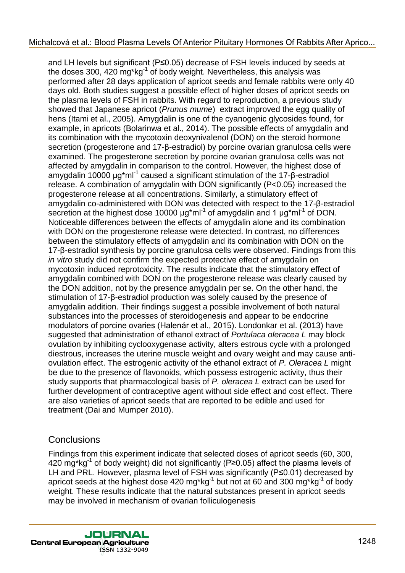and LH levels but significant (P≤0.05) decrease of FSH levels induced by seeds at the doses 300, 420 mg\*kg<sup>-1</sup> of body weight. Nevertheless, this analysis was performed after 28 days application of apricot seeds and female rabbits were only 40 days old. Both studies suggest a possible effect of higher doses of apricot seeds on the plasma levels of FSH in rabbits. With regard to reproduction, a previous study showed that Japanese apricot (*Prunus mume*) extract improved the egg quality of hens (Itami et al., 2005). Amygdalin is one of the cyanogenic glycosides found, for example, in apricots (Bolarinwa et al., 2014). The possible effects of amygdalin and its combination with the mycotoxin deoxynivalenol (DON) on the steroid hormone secretion (progesterone and 17-β-estradiol) by porcine ovarian granulosa cells were examined. The progesterone secretion by porcine ovarian granulosa cells was not affected by amygdalin in comparison to the control. However, the highest dose of amygdalin 10000  $\mu$ g\*ml<sup>-1</sup> caused a significant stimulation of the 17- $\beta$ -estradiol release. A combination of amygdalin with DON significantly (P<0.05) increased the progesterone release at all concentrations. Similarly, a stimulatory effect of amygdalin co-administered with DON was detected with respect to the 17-β-estradiol secretion at the highest dose 10000  $\mu$ g\*ml<sup>-1</sup> of amygdalin and 1  $\mu$ g\*ml<sup>-1</sup> of DON. Noticeable differences between the effects of amygdalin alone and its combination with DON on the progesterone release were detected. In contrast, no differences between the stimulatory effects of amygdalin and its combination with DON on the 17-β-estradiol synthesis by porcine granulosa cells were observed. Findings from this *in vitro* study did not confirm the expected protective effect of amygdalin on mycotoxin induced reprotoxicity. The results indicate that the stimulatory effect of amygdalin combined with DON on the progesterone release was clearly caused by the DON addition, not by the presence amygdalin per se. On the other hand, the stimulation of 17-β-estradiol production was solely caused by the presence of amygdalin addition. Their findings suggest a possible involvement of both natural substances into the processes of steroidogenesis and appear to be endocrine modulators of porcine ovaries (Halenár et al., 2015). Londonkar et al. (2013) have suggested that administration of ethanol extract of *Portulaca oleracea L* may block ovulation by inhibiting cyclooxygenase activity, alters estrous cycle with a prolonged diestrous, increases the uterine muscle weight and ovary weight and may cause antiovulation effect. The estrogenic activity of the ethanol extract of *P. Oleracea L* might be due to the presence of flavonoids, which possess estrogenic activity, thus their study supports that pharmacological basis of *P. oleracea L* extract can be used for further development of contraceptive agent without side effect and cost effect. There are also varieties of apricot seeds that are reported to be edible and used for treatment (Dai and Mumper 2010). Michalcová et al.: Blood Plasma Levels Of Anterior Pituliary Hormones Of Rabbits After Aprico...<br>
and LH levels builgy including 206 0.06 plasma at FSH lavels including y sensitive After Aprico...<br>
In the closes stup, 420

#### **Conclusions**

Findings from this experiment indicate that selected doses of apricot seeds (60, 300, 420 mg\*kg $^{\text{1}}$  of body weight) did not significantly (P≥0.05) affect the plasma levels of LH and PRL. However, plasma level of FSH was significantly (P≤0.01) decreased by apricot seeds at the highest dose 420 mg\*kg<sup>-1</sup> but not at 60 and 300 mg\*kg<sup>-1</sup> of body weight. These results indicate that the natural substances present in apricot seeds may be involved in mechanism of ovarian folliculogenesis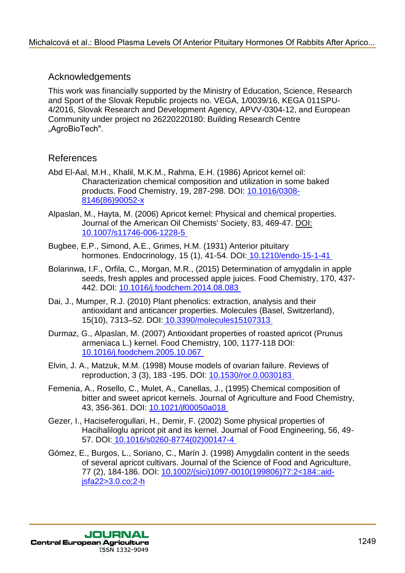### Acknowledgements

This work was financially supported by the Ministry of Education, Science, Research and Sport of the Slovak Republic projects no. VEGA, 1/0039/16, KEGA 011SPU-4/2016, Slovak Research and Development Agency, APVV-0304-12, and European Community under project no 26220220180: Building Research Centre "AgroBioTech". Mchalcová et al.: Blood Plasma Levels Of Anterior Pituliary Hormones Of Rabbits After Aprico.<br>
This work was firstnictlily supported by the Ministry of Education. Science, Research<br>
and Sport After Science Repubble project

### References

- Abd El-Aal, M.H., Khalil, M.K.M., Rahma, E.H. (1986) Apricot kernel oil: Characterization chemical composition and utilization in some baked products. Food Chemistry, 19, 287-298. DOI: 10.1016/0308- 8146(86)90052-x
- Alpaslan, M., Hayta, M. (2006) Apricot kernel: Physical and chemical properties. Journal of the American Oil Chemists' Society, 83, 469-47. DOI: 10.1007/s11746-006-1228-5
- Bugbee, E.P., Simond, A.E., Grimes, H.M. (1931) Anterior pituitary hormones. Endocrinology, 15 (1), 41-54. DOI: 10.1210/endo-15-1-41
- Bolarinwa, I.F., Orfila, C., Morgan, M.R., (2015) Determination of amygdalin in apple seeds, fresh apples and processed apple juices. Food Chemistry, 170, 437- 442. DOI: 10.1016/j.foodchem.2014.08.083
- Dai, J., Mumper, R.J. (2010) Plant phenolics: extraction, analysis and their antioxidant and anticancer properties. Molecules (Basel, Switzerland), 15(10), 7313–52. DOI: 10.3390/molecules15107313
- Durmaz, G., Alpaslan, M. (2007) Antioxidant properties of roasted apricot (Prunus armeniaca L.) kernel. Food Chemistry, 100, 1177-118 DOI: 10.1016/j.foodchem.2005.10.067
- Elvin, J. A., Matzuk, M.M. (1998) Mouse models of ovarian failure. Reviews of reproduction, 3 (3), 183 -195. DOI: 10.1530/ror.0.0030183
- Femenia, A., Rosello, C., Mulet, A., Canellas, J., (1995) Chemical composition of bitter and sweet apricot kernels. Journal of Agriculture and Food Chemistry, 43, 356-361. DOI: 10.1021/jf00050a018
- Gezer, I., Haciseferogullari, H., Demir, F. (2002) Some physical properties of Hacihaliloglu apricot pit and its kernel. Journal of Food Engineering, 56, 49- 57. DOI: 10.1016/s0260-8774(02)00147-4
- Gómez, E., Burgos, L., Soriano, C., Marín J. (1998) Amygdalin content in the seeds of several apricot cultivars. Journal of the Science of Food and Agriculture, 77 (2), 184-186. DOI: 10.1002/(sici)1097-0010(199806)77:2<184::aidjsfa22>3.0.co;2-h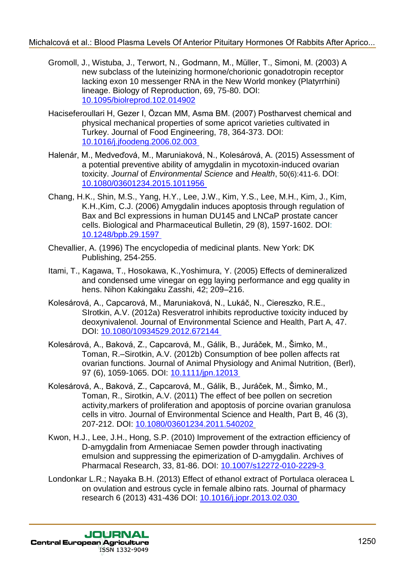- Gromoll, J., Wistuba, J., Terwort, N., Godmann, M., Müller, T., Simoni, M. (2003) A new subclass of the luteinizing hormone/chorionic gonadotropin receptor lacking exon 10 messenger RNA in the New World monkey (Platyrrhini) lineage. Biology of Reproduction, 69, 75-80. DOI: 10.1095/biolreprod.102.014902 Michalcová et al.: Blood Plasma Levels Of Anterior Pituliary Hormones Of Rabbits After Aprico..<br>
3. Visualis A.I. Tarvant, N. Codmarn, N. Milliary, T. Simoni, N. (2003)<br>
more subcase of the bits model proposition, 69. 75-8
	- Haciseferoullari H, Gezer I, Özcan MM, Asma BM. (2007) Postharvest chemical and physical mechanical properties of some apricot varieties cultivated in Turkey. Journal of Food Engineering, 78, 364-373. DOI: 10.1016/j.jfoodeng.2006.02.003
	- Halenár, M., Medveďová, M., Maruniaková, N., Kolesárová, A. (2015) Assessment of a potential preventive ability of amygdalin in mycotoxin-induced ovarian toxicity. *Journal* of *Environmental Science* and *Health*, 50(6):411-6. DOI: 10.1080/03601234.2015.1011956
	- Chang, H.K., Shin, M.S., Yang, H.Y., Lee, J.W., Kim, Y.S., Lee, M.H., Kim, J., Kim, K.H.,Kim, C.J. (2006) Amygdalin induces apoptosis through regulation of Bax and Bcl expressions in human DU145 and LNCaP prostate cancer cells. Biological and Pharmaceutical Bulletin, 29 (8), 1597-1602. DOI: 10.1248/bpb.29.1597
	- Chevallier, A. (1996) The encyclopedia of medicinal plants. New York: DK Publishing, 254-255.
	- Itami, T., Kagawa, T., Hosokawa, K.,Yoshimura, Y. (2005) Effects of demineralized and condensed ume vinegar on egg laying performance and egg quality in hens. Nihon Kakingaku Zasshi, 42; 209–216.
	- Kolesárová, A., Capcarová, M., Maruniaková, N., Lukáč, N., Ciereszko, R.E., SIrotkin, A.V. (2012a) Resveratrol inhibits reproductive toxicity induced by deoxynivalenol. Journal of Environmental Science and Health, Part A, 47. DOI: 10.1080/10934529.2012.672144
	- Kolesárová, A., Baková, Z., Capcarová, M., Gálik, B., Juráček, M., Šimko, M., Toman, R.–Sirotkin, A.V. (2012b) Consumption of bee pollen affects rat ovarian functions. Journal of Animal Physiology and Animal Nutrition, (Berl), 97 (6), 1059-1065. DOI: 10.1111/jpn.12013
	- Kolesárová, A., Baková, Z., Capcarová, M., Gálik, B., Juráček, M., Šimko, M., Toman, R., Sirotkin, A.V. (2011) The effect of bee pollen on secretion activity,markers of proliferation and apoptosis of porcine ovarian granulosa cells in vitro. Journal of Environmental Science and Health, Part B, 46 (3), 207-212. DOI: 10.1080/03601234.2011.540202
	- Kwon, H.J., Lee, J.H., Hong, S.P. (2010) Improvement of the extraction efficiency of D-amygdalin from Armeniacae Semen powder through inactivating emulsion and suppressing the epimerization of D-amygdalin. Archives of Pharmacal Research, 33, 81-86. DOI: 10.1007/s12272-010-2229-3
	- Londonkar L.R.; Nayaka B.H. (2013) Effect of ethanol extract of Portulaca oleracea L on ovulation and estrous cycle in female albino rats. Journal of pharmacy research 6 (2013) 431-436 DOI: 10.1016/j.jopr.2013.02.030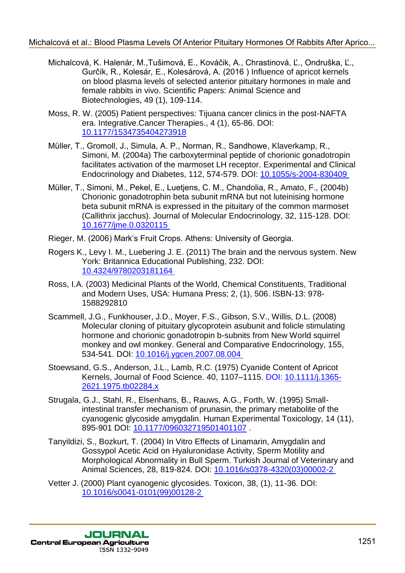- Michalcová, K. Halenár, M.,Tušimová, E., Kováčik, A., Chrastinová, Ľ., Ondruška, Ľ., Gurčík, R., Kolesár*,* E., Kolesárová, A. (2016 ) Influence of apricot kernels on blood plasma levels of selected anterior pituitary hormones in male and female rabbits in vivo. Scientific Papers: Animal Science and Biotechnologies, 49 (1), 109-114. Michalcová et al.: Blood Plasma Levels Of Anterior Pitulary Hormones Of Rabbits After Aprico...<br>
Michalcová et al.: Rovás A. Cruztinos, E., Kovás A. Cruztinos, E. Croducista. C.<br>
Gorbits, H. Kovás A. Cruztinos, E., Kovás A
	- Moss, R. W. (2005) Patient perspectives: Tijuana cancer clinics in the post-NAFTA era. Integrative.Cancer Therapies., 4 (1), 65-86. DOI: 10.1177/1534735404273918
	- Müller, T., Gromoll, J., Simula, A. P., Norman, R., Sandhowe, Klaverkamp, R., Simoni, M. (2004a) The carboxyterminal peptide of chorionic gonadotropin facilitates activation of the marmoset LH receptor. Experimental and Clinical Endocrinology and Diabetes, 112, 574-579. DOI: 10.1055/s-2004-830409
	- Müller, T., Simoni, M., Pekel, E., Luetjens, C. M., Chandolia, R., Amato, F., (2004b) Chorionic gonadotrophin beta subunit mRNA but not luteinising hormone beta subunit mRNA is expressed in the pituitary of the common marmoset (Callithrix jacchus). Journal of Molecular Endocrinology, 32, 115-128. DOI: 10.1677/jme.0.0320115
	- Rieger, M. (2006) Mark's Fruit Crops. Athens: University of Georgia.
	- Rogers K., Levy I. M., Luebering J. E. (2011) The brain and the nervous system. New York: Britannica Educational Publishing, 232. DOI: 10.4324/9780203181164
	- Ross, I.A. (2003) Medicinal Plants of the World, Chemical Constituents, Traditional and Modern Uses, USA: Humana Press; 2, (1), 506. ISBN-13: 978- 1588292810
	- Scammell, J.G., Funkhouser, J.D., Moyer, F.S., Gibson, S.V., Willis, D.L. (2008) Molecular cloning of pituitary glycoprotein asubunit and folicle stimulating hormone and chorionic gonadotropin b-subnits from New World squirrel monkey and owl monkey. General and Comparative Endocrinology, 155, 534-541. DOI: 10.1016/j.ygcen.2007.08.004
	- Stoewsand, G.S., Anderson, J.L., Lamb, R.C. (1975) Cyanide Content of Apricot Kernels, Journal of Food Science. 40, 1107–1115. DOI: 10.1111/j.1365- 2621.1975.tb02284.x
	- Strugala, G.J., Stahl, R., Elsenhans, B., Rauws, A.G., Forth, W. (1995) Smallintestinal transfer mechanism of prunasin, the primary metabolite of the cyanogenic glycoside amygdalin. Human Experimental Toxicology, 14 (11), 895-901 DOI: 10.1177/096032719501401107 .
	- Tanyildizi, S., Bozkurt, T. (2004) In Vitro Effects of Linamarin, Amygdalin and Gossypol Acetic Acid on Hyaluronidase Activity, Sperm Motility and Morphological Abnormality in Bull Sperm. Turkish Journal of Veterinary and Animal Sciences, 28, 819-824. DOI: 10.1016/s0378-4320(03)00002-2
	- Vetter J. (2000) Plant cyanogenic glycosides. Toxicon, 38, (1), 11-36. DOI: 10.1016/s0041-0101(99)00128-2